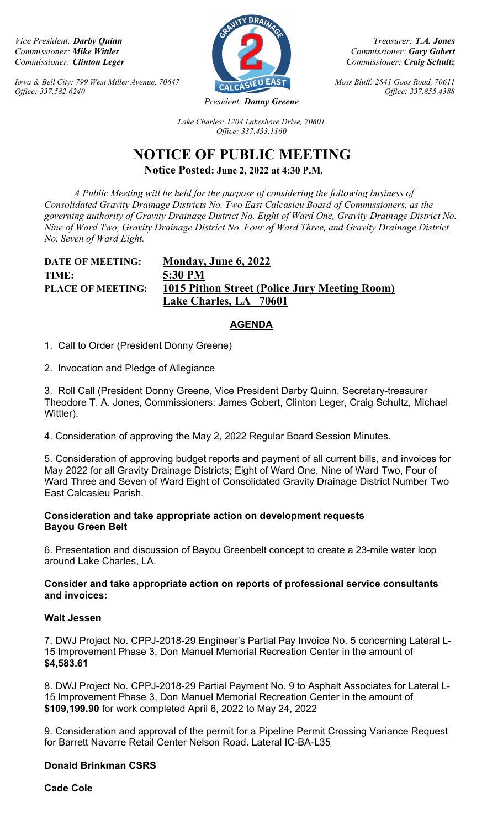Iowa & Bell City: 799 West Miller Avenue, 70647  $\overline{C_{\text{ALC}} S}$  EAST Moss Bluff: 2841 Goos Road, 70611 Office: 337.582.6240 Office: 337.855.4388



Vice President: Darby Quinn Treasurer: T.A. Jones Commissioner: Mike Wittler Commissioner: Gary Gobert Commissioner: Gary Gobert Commissioner: Gary Gobert Commissioner: Gary Gobert Commissioner: Gary Gobert Commissioner: Craig Schultz Commissioner: Craig Schultz

Lake Charles: 1204 Lakeshore Drive, 70601 Office: 337.433.1160

# NOTICE OF PUBLIC MEETING Notice Posted: June 2, 2022 at 4:30 P.M.

 A Public Meeting will be held for the purpose of considering the following business of Consolidated Gravity Drainage Districts No. Two East Calcasieu Board of Commissioners, as the governing authority of Gravity Drainage District No. Eight of Ward One, Gravity Drainage District No. Nine of Ward Two, Gravity Drainage District No. Four of Ward Three, and Gravity Drainage District No. Seven of Ward Eight.

## DATE OF MEETING: Monday, June 6, 2022 TIME: 5:30 PM PLACE OF MEETING: 1015 Pithon Street (Police Jury Meeting Room) Lake Charles, LA 70601

## **AGENDA**

1. Call to Order (President Donny Greene)

2. Invocation and Pledge of Allegiance

3. Roll Call (President Donny Greene, Vice President Darby Quinn, Secretary-treasurer Theodore T. A. Jones, Commissioners: James Gobert, Clinton Leger, Craig Schultz, Michael Wittler).

4. Consideration of approving the May 2, 2022 Regular Board Session Minutes.

5. Consideration of approving budget reports and payment of all current bills, and invoices for May 2022 for all Gravity Drainage Districts; Eight of Ward One, Nine of Ward Two, Four of Ward Three and Seven of Ward Eight of Consolidated Gravity Drainage District Number Two East Calcasieu Parish.

#### Consideration and take appropriate action on development requests Bayou Green Belt

6. Presentation and discussion of Bayou Greenbelt concept to create a 23-mile water loop around Lake Charles, LA.

## Consider and take appropriate action on reports of professional service consultants and invoices:

## Walt Jessen

7. DWJ Project No. CPPJ-2018-29 Engineer's Partial Pay Invoice No. 5 concerning Lateral L-15 Improvement Phase 3, Don Manuel Memorial Recreation Center in the amount of \$4,583.61

8. DWJ Project No. CPPJ-2018-29 Partial Payment No. 9 to Asphalt Associates for Lateral L-15 Improvement Phase 3, Don Manuel Memorial Recreation Center in the amount of \$109,199.90 for work completed April 6, 2022 to May 24, 2022

9. Consideration and approval of the permit for a Pipeline Permit Crossing Variance Request for Barrett Navarre Retail Center Nelson Road. Lateral IC-BA-L35

## Donald Brinkman CSRS

Cade Cole